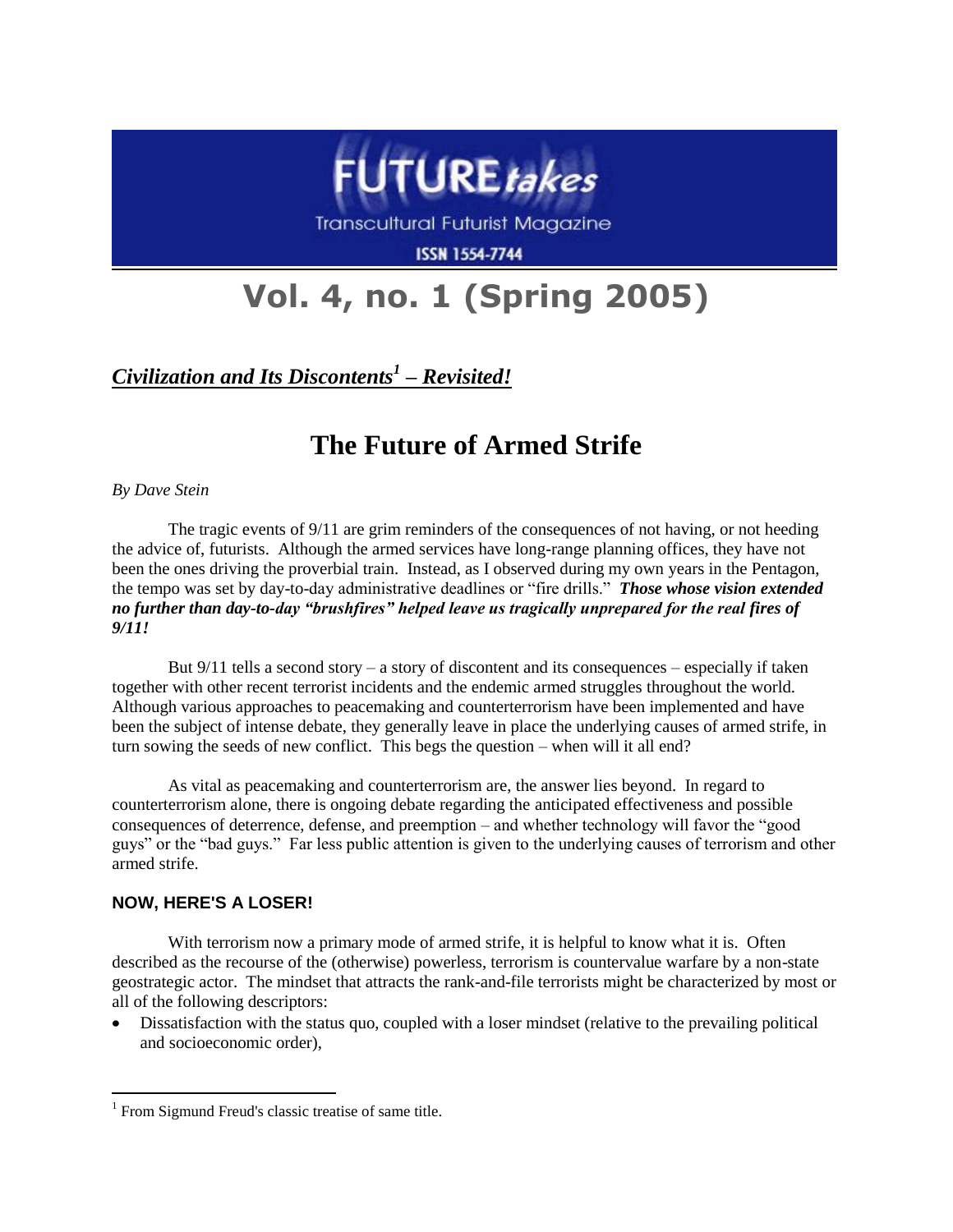

Transcultural Futurist Magazine

**ISSN 1554-7744** 

# **Vol. 4, no. 1 (Spring 2005)**

*Civilization and Its Discontents<sup>1</sup> – Revisited!*

# **The Future of Armed Strife**

*By Dave Stein*

The tragic events of 9/11 are grim reminders of the consequences of not having, or not heeding the advice of, futurists. Although the armed services have long-range planning offices, they have not been the ones driving the proverbial train. Instead, as I observed during my own years in the Pentagon, the tempo was set by day-to-day administrative deadlines or "fire drills." *Those whose vision extended no further than day-to-day "brushfires" helped leave us tragically unprepared for the real fires of 9/11!*

But  $9/11$  tells a second story – a story of discontent and its consequences – especially if taken together with other recent terrorist incidents and the endemic armed struggles throughout the world. Although various approaches to peacemaking and counterterrorism have been implemented and have been the subject of intense debate, they generally leave in place the underlying causes of armed strife, in turn sowing the seeds of new conflict. This begs the question – when will it all end?

As vital as peacemaking and counterterrorism are, the answer lies beyond. In regard to counterterrorism alone, there is ongoing debate regarding the anticipated effectiveness and possible consequences of deterrence, defense, and preemption – and whether technology will favor the "good guys" or the "bad guys." Far less public attention is given to the underlying causes of terrorism and other armed strife.

## **NOW, HERE'S A LOSER!**

 $\overline{a}$ 

With terrorism now a primary mode of armed strife, it is helpful to know what it is. Often described as the recourse of the (otherwise) powerless, terrorism is countervalue warfare by a non-state geostrategic actor. The mindset that attracts the rank-and-file terrorists might be characterized by most or all of the following descriptors:

Dissatisfaction with the status quo, coupled with a loser mindset (relative to the prevailing political and socioeconomic order),

<sup>&</sup>lt;sup>1</sup> From Sigmund Freud's classic treatise of same title.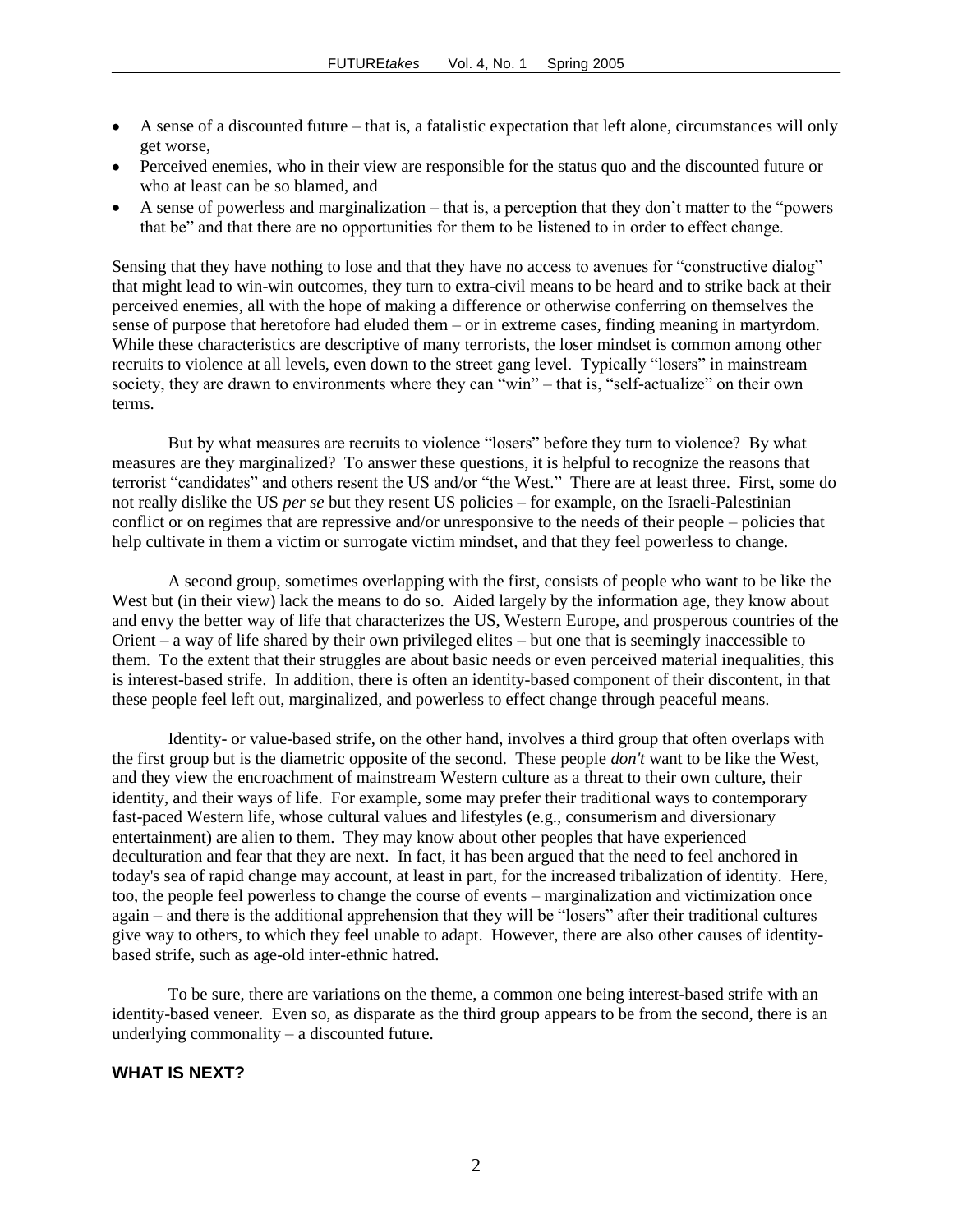- A sense of a discounted future that is, a fatalistic expectation that left alone, circumstances will only get worse,
- Perceived enemies, who in their view are responsible for the status quo and the discounted future or who at least can be so blamed, and
- A sense of powerless and marginalization that is, a perception that they don't matter to the "powers that be" and that there are no opportunities for them to be listened to in order to effect change.

Sensing that they have nothing to lose and that they have no access to avenues for "constructive dialog" that might lead to win-win outcomes, they turn to extra-civil means to be heard and to strike back at their perceived enemies, all with the hope of making a difference or otherwise conferring on themselves the sense of purpose that heretofore had eluded them – or in extreme cases, finding meaning in martyrdom. While these characteristics are descriptive of many terrorists, the loser mindset is common among other recruits to violence at all levels, even down to the street gang level. Typically "losers" in mainstream society, they are drawn to environments where they can "win" – that is, "self-actualize" on their own terms.

But by what measures are recruits to violence "losers" before they turn to violence? By what measures are they marginalized? To answer these questions, it is helpful to recognize the reasons that terrorist "candidates" and others resent the US and/or "the West." There are at least three. First, some do not really dislike the US *per se* but they resent US policies – for example, on the Israeli-Palestinian conflict or on regimes that are repressive and/or unresponsive to the needs of their people – policies that help cultivate in them a victim or surrogate victim mindset, and that they feel powerless to change.

A second group, sometimes overlapping with the first, consists of people who want to be like the West but (in their view) lack the means to do so. Aided largely by the information age, they know about and envy the better way of life that characterizes the US, Western Europe, and prosperous countries of the Orient – a way of life shared by their own privileged elites – but one that is seemingly inaccessible to them. To the extent that their struggles are about basic needs or even perceived material inequalities, this is interest-based strife. In addition, there is often an identity-based component of their discontent, in that these people feel left out, marginalized, and powerless to effect change through peaceful means.

Identity- or value-based strife, on the other hand, involves a third group that often overlaps with the first group but is the diametric opposite of the second. These people *don't* want to be like the West, and they view the encroachment of mainstream Western culture as a threat to their own culture, their identity, and their ways of life. For example, some may prefer their traditional ways to contemporary fast-paced Western life, whose cultural values and lifestyles (e.g., consumerism and diversionary entertainment) are alien to them. They may know about other peoples that have experienced deculturation and fear that they are next. In fact, it has been argued that the need to feel anchored in today's sea of rapid change may account, at least in part, for the increased tribalization of identity. Here, too, the people feel powerless to change the course of events – marginalization and victimization once again – and there is the additional apprehension that they will be "losers" after their traditional cultures give way to others, to which they feel unable to adapt. However, there are also other causes of identitybased strife, such as age-old inter-ethnic hatred.

To be sure, there are variations on the theme, a common one being interest-based strife with an identity-based veneer. Even so, as disparate as the third group appears to be from the second, there is an underlying commonality – a discounted future.

### **WHAT IS NEXT?**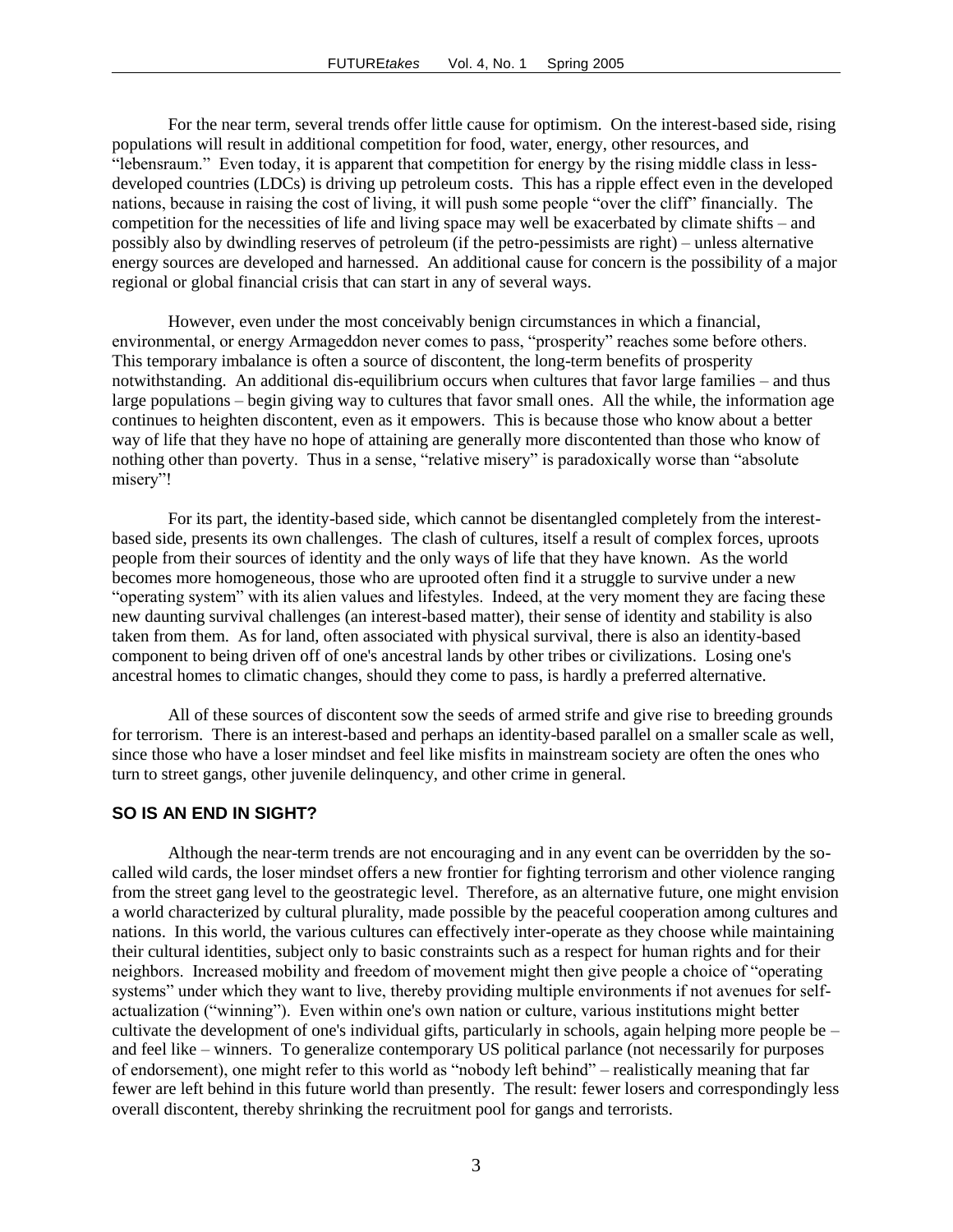For the near term, several trends offer little cause for optimism. On the interest-based side, rising populations will result in additional competition for food, water, energy, other resources, and "lebensraum." Even today, it is apparent that competition for energy by the rising middle class in lessdeveloped countries (LDCs) is driving up petroleum costs. This has a ripple effect even in the developed nations, because in raising the cost of living, it will push some people "over the cliff" financially. The competition for the necessities of life and living space may well be exacerbated by climate shifts – and possibly also by dwindling reserves of petroleum (if the petro-pessimists are right) – unless alternative energy sources are developed and harnessed. An additional cause for concern is the possibility of a major regional or global financial crisis that can start in any of several ways.

However, even under the most conceivably benign circumstances in which a financial, environmental, or energy Armageddon never comes to pass, "prosperity" reaches some before others. This temporary imbalance is often a source of discontent, the long-term benefits of prosperity notwithstanding. An additional dis-equilibrium occurs when cultures that favor large families – and thus large populations – begin giving way to cultures that favor small ones. All the while, the information age continues to heighten discontent, even as it empowers. This is because those who know about a better way of life that they have no hope of attaining are generally more discontented than those who know of nothing other than poverty. Thus in a sense, "relative misery" is paradoxically worse than "absolute misery"!

For its part, the identity-based side, which cannot be disentangled completely from the interestbased side, presents its own challenges. The clash of cultures, itself a result of complex forces, uproots people from their sources of identity and the only ways of life that they have known. As the world becomes more homogeneous, those who are uprooted often find it a struggle to survive under a new "operating system" with its alien values and lifestyles. Indeed, at the very moment they are facing these new daunting survival challenges (an interest-based matter), their sense of identity and stability is also taken from them. As for land, often associated with physical survival, there is also an identity-based component to being driven off of one's ancestral lands by other tribes or civilizations. Losing one's ancestral homes to climatic changes, should they come to pass, is hardly a preferred alternative.

All of these sources of discontent sow the seeds of armed strife and give rise to breeding grounds for terrorism. There is an interest-based and perhaps an identity-based parallel on a smaller scale as well, since those who have a loser mindset and feel like misfits in mainstream society are often the ones who turn to street gangs, other juvenile delinquency, and other crime in general.

#### **SO IS AN END IN SIGHT?**

Although the near-term trends are not encouraging and in any event can be overridden by the socalled wild cards, the loser mindset offers a new frontier for fighting terrorism and other violence ranging from the street gang level to the geostrategic level. Therefore, as an alternative future, one might envision a world characterized by cultural plurality, made possible by the peaceful cooperation among cultures and nations. In this world, the various cultures can effectively inter-operate as they choose while maintaining their cultural identities, subject only to basic constraints such as a respect for human rights and for their neighbors. Increased mobility and freedom of movement might then give people a choice of "operating systems" under which they want to live, thereby providing multiple environments if not avenues for selfactualization ("winning"). Even within one's own nation or culture, various institutions might better cultivate the development of one's individual gifts, particularly in schools, again helping more people be  $$ and feel like – winners. To generalize contemporary US political parlance (not necessarily for purposes of endorsement), one might refer to this world as "nobody left behind" – realistically meaning that far fewer are left behind in this future world than presently. The result: fewer losers and correspondingly less overall discontent, thereby shrinking the recruitment pool for gangs and terrorists.